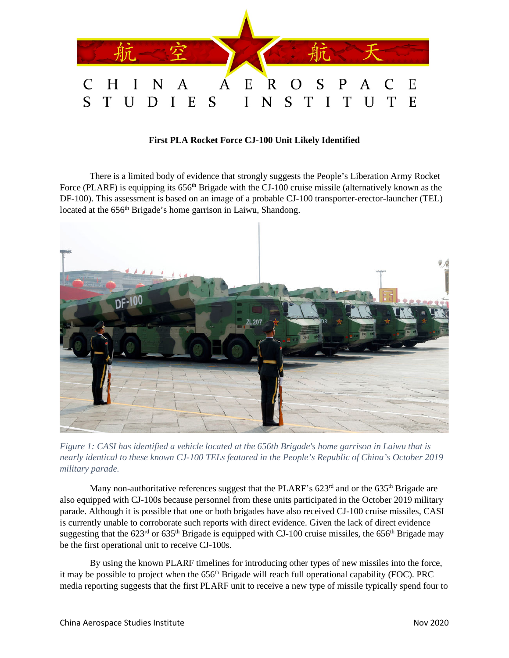

## **First PLA Rocket Force CJ-100 Unit Likely Identified**

There is a limited body of evidence that strongly suggests the People's Liberation Army Rocket Force (PLARF) is equipping its 656<sup>th</sup> Brigade with the CJ-100 cruise missile (alternatively known as the DF-100). This assessment is based on an image of a probable CJ-100 transporter-erector-launcher (TEL) located at the 656<sup>th</sup> Brigade's home garrison in Laiwu, Shandong.



*Figure 1: CASI has identified a vehicle located at the 656th Brigade's home garrison in Laiwu that is nearly identical to these known CJ-100 TELs featured in the People's Republic of China's October 2019 military parade.*

Many non-authoritative references suggest that the PLARF's  $623<sup>rd</sup>$  and or the  $635<sup>th</sup>$  Brigade are also equipped with CJ-100s because personnel from these units participated in the October 2019 military parade. Although it is possible that one or both brigades have also received CJ-100 cruise missiles, CASI is currently unable to corroborate such reports with direct evidence. Given the lack of direct evidence suggesting that the 623<sup>rd</sup> or 635<sup>th</sup> Brigade is equipped with CJ-100 cruise missiles, the 656<sup>th</sup> Brigade may be the first operational unit to receive CJ-100s.

By using the known PLARF timelines for introducing other types of new missiles into the force, it may be possible to project when the 656<sup>th</sup> Brigade will reach full operational capability (FOC). PRC media reporting suggests that the first PLARF unit to receive a new type of missile typically spend four to